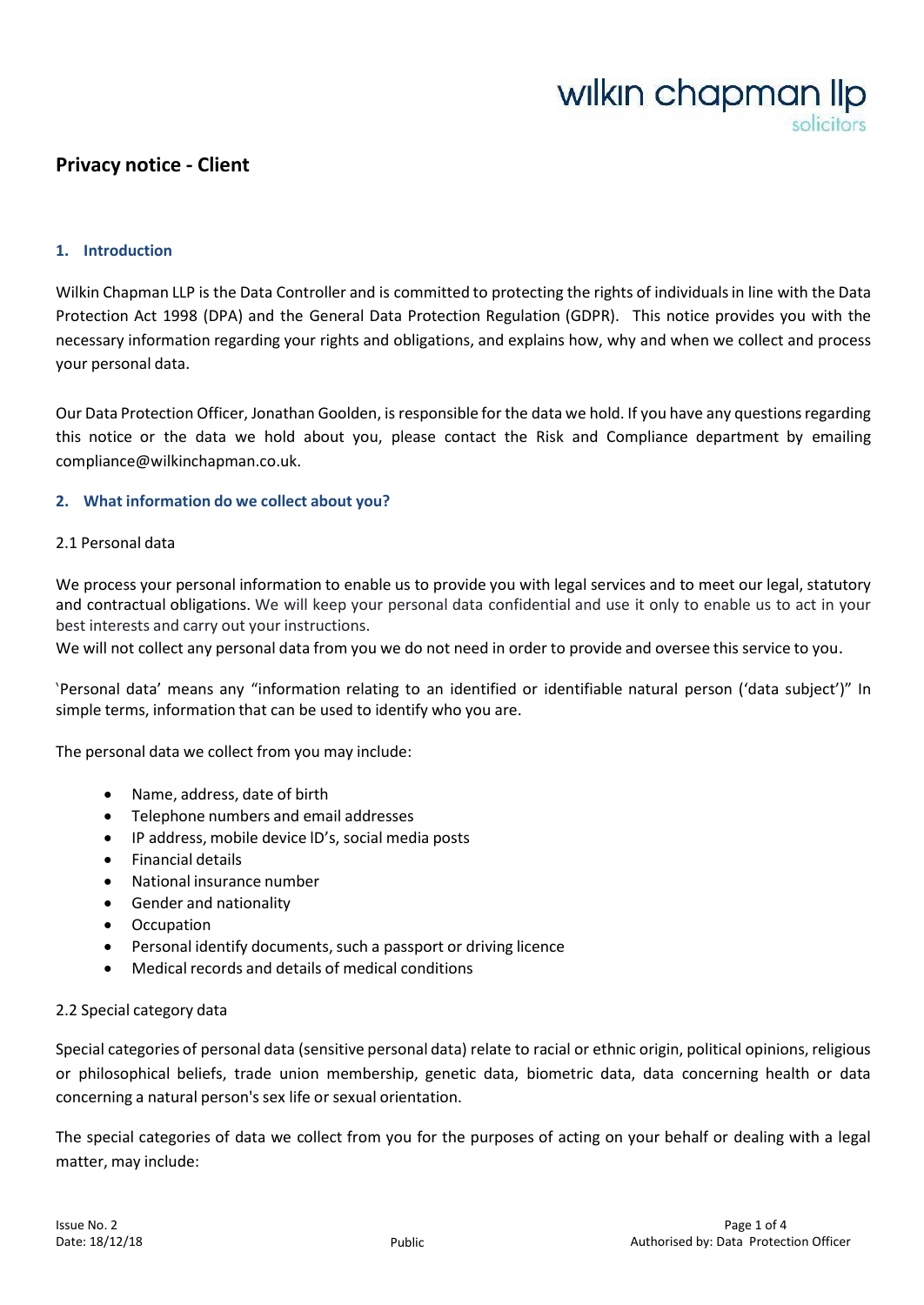# wilkin chapman lip

# **Privacy notice - Client**

#### **1. Introduction**

Wilkin Chapman LLP is the Data Controller and is committed to protecting the rights of individualsin line with the Data Protection Act 1998 (DPA) and the General Data Protection Regulation (GDPR). This notice provides you with the necessary information regarding your rights and obligations, and explains how, why and when we collect and process your personal data.

Our Data Protection Officer, Jonathan Goolden, is responsible for the data we hold. If you have any questionsregarding this notice or the data we hold about you, please contact the Risk and Compliance department by emailin[g](mailto:compliance@wilkinchapman.co.uk) [compliance@wilkinchapman.co.uk.](mailto:compliance@wilkinchapman.co.uk)

#### **2. What information do we collect about you?**

#### 2.1 Personal data

We process your personal information to enable us to provide you with legal services and to meet our legal, statutory and contractual obligations. We will keep your personal data confidential and use it only to enable us to act in your best interests and carry out your instructions.

We will not collect any personal data from you we do not need in order to provide and oversee this service to you.

'Personal data' means any "information relating to an identified or identifiable natural person ('data subject')" In simple terms, information that can be used to identify who you are.

The personal data we collect from you may include:

- Name, address, date of birth
- Telephone numbers and email addresses
- IP address, mobile device lD's, social media posts
- Financial details
- National insurance number
- Gender and nationality
- **Occupation**
- Personal identify documents, such a passport or driving licence
- Medical records and details of medical conditions

#### 2.2 Special category data

Special categories of personal data (sensitive personal data) relate to racial or ethnic origin, political opinions, religious or philosophical beliefs, trade union membership, genetic data, biometric data, data concerning health or data concerning a natural person's sex life or sexual orientation.

The special categories of data we collect from you for the purposes of acting on your behalf or dealing with a legal matter, may include: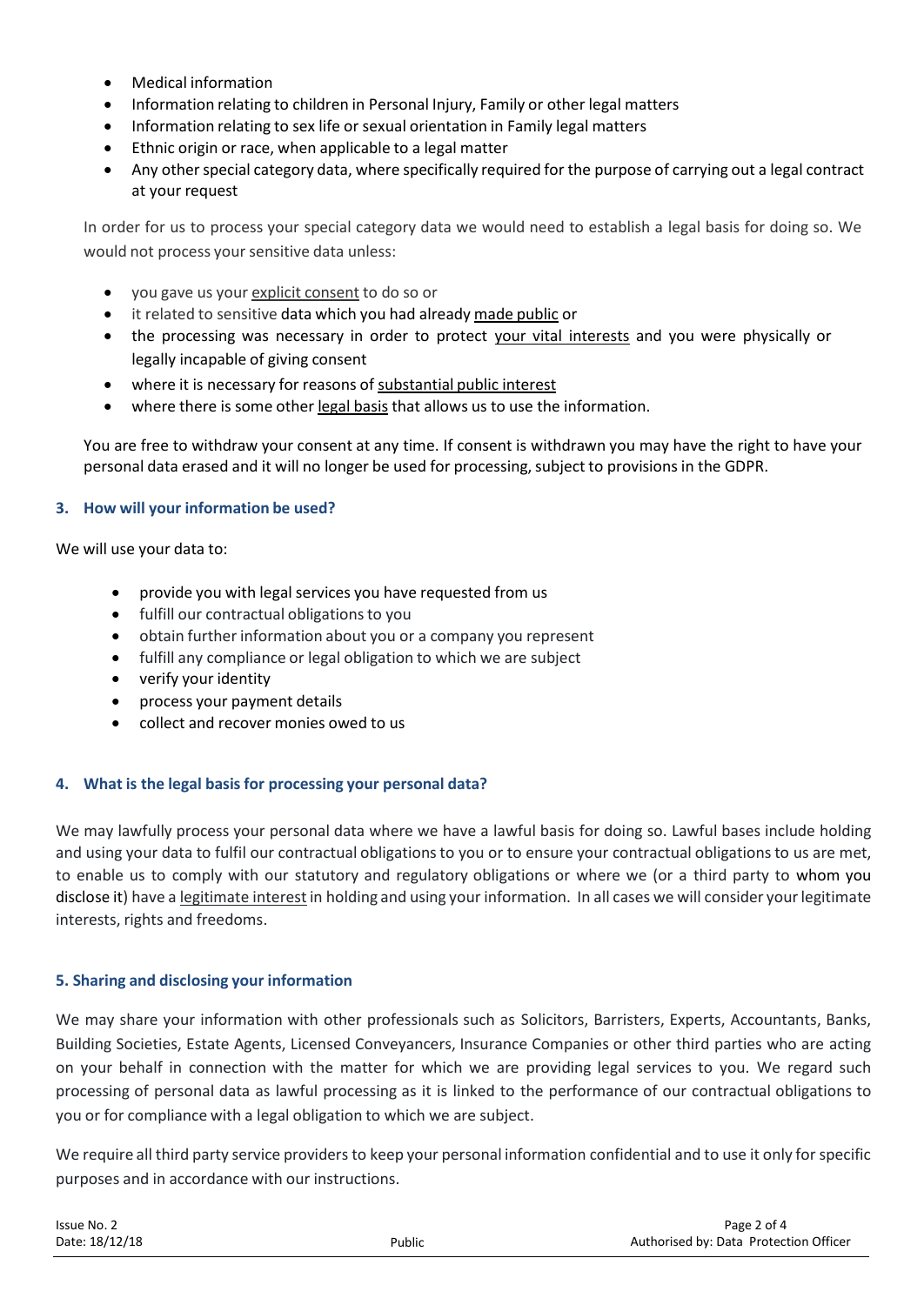- Medical information
- Information relating to children in Personal Injury, Family or other legal matters
- Information relating to sex life or sexual orientation in Family legal matters
- Ethnic origin or race, when applicable to a legal matter
- Any other special category data, where specifically required for the purpose of carrying out a legal contract at your request

In order for us to process your special category data we would need to establish a legal basis for doing so. We would not process your sensitive data unless:

- you gave us your explicit consent to do so or
- it related to sensitive data which you had already made public or
- the processing was necessary in order to protect your vital interests and you were physically or legally incapable of giving consent
- where it is necessary for reasons of substantial public interest
- where there is some other legal basis that allows us to use the information.

You are free to withdraw your consent at any time. If consent is withdrawn you may have the right to have your personal data erased and it will no longer be used for processing, subject to provisions in the GDPR.

# **3. How will your information be used?**

We will use your data to:

- provide you with legal services you have requested from us
- fulfill our contractual obligations to you
- obtain further information about you or a company you represent
- fulfill any compliance or legal obligation to which we are subject
- verify your identity
- process your payment details
- collect and recover monies owed to us

## **4. What is the legal basis for processing your personal data?**

We may lawfully process your personal data where we have a lawful basis for doing so. Lawful bases include holding and using your data to fulfil our contractual obligations to you or to ensure your contractual obligations to us are met, to enable us to comply with our statutory and regulatory obligations or where we (or a third party to whom you disclose it) have a legitimate interest in holding and using your information. In all cases we will consider your legitimate interests, rights and freedoms.

## **5. Sharing and disclosing your information**

We may share your information with other professionals such as Solicitors, Barristers, Experts, Accountants, Banks, Building Societies, Estate Agents, Licensed Conveyancers, Insurance Companies or other third parties who are acting on your behalf in connection with the matter for which we are providing legal services to you. We regard such processing of personal data as lawful processing as it is linked to the performance of our contractual obligations to you or for compliance with a legal obligation to which we are subject.

We require all third party service providers to keep your personal information confidential and to use it only forspecific purposes and in accordance with our instructions.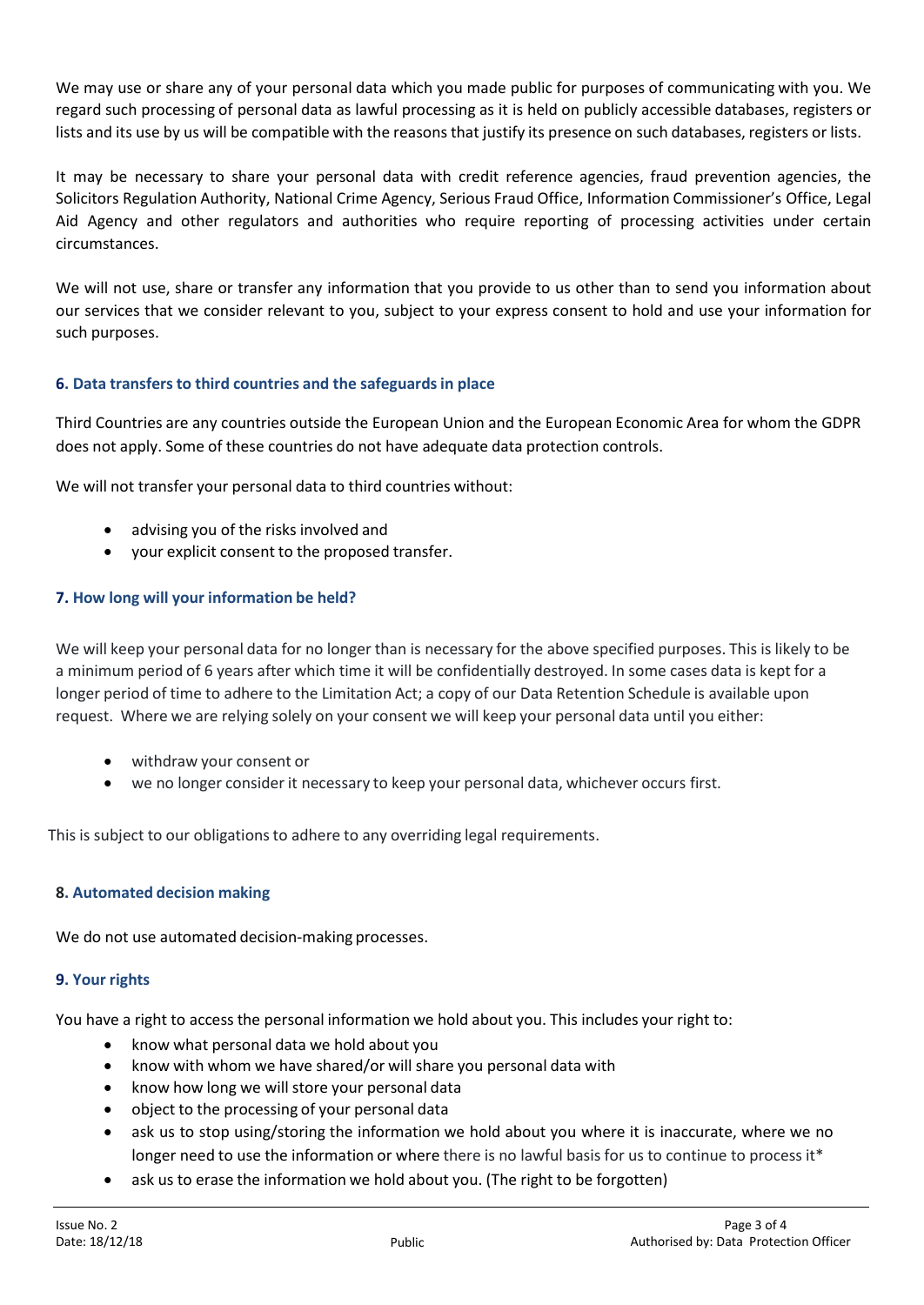We may use or share any of your personal data which you made public for purposes of communicating with you. We regard such processing of personal data as lawful processing as it is held on publicly accessible databases, registers or lists and its use by us will be compatible with the reasons that justify its presence on such databases, registers or lists.

It may be necessary to share your personal data with credit reference agencies, fraud prevention agencies, the Solicitors Regulation Authority, National Crime Agency, Serious Fraud Office, Information Commissioner's Office, Legal Aid Agency and other regulators and authorities who require reporting of processing activities under certain circumstances.

We will not use, share or transfer any information that you provide to us other than to send you information about our services that we consider relevant to you, subject to your express consent to hold and use your information for such purposes.

# **6. Data transfersto third countries and the safeguardsin place**

Third Countries are any countries outside the European Union and the European Economic Area for whom the GDPR does not apply. Some of these countries do not have adequate data protection controls.

We will not transfer your personal data to third countries without:

- advising you of the risks involved and
- your explicit consent to the proposed transfer.

# **7. How long will your information be held?**

We will keep your personal data for no longer than is necessary for the above specified purposes. This is likely to be a minimum period of 6 years after which time it will be confidentially destroyed. In some cases data is kept for a longer period of time to adhere to the Limitation Act; a copy of our Data Retention Schedule is available upon request. Where we are relying solely on your consent we will keep your personal data until you either:

- withdraw your consent or
- we no longer consider it necessary to keep your personal data, whichever occurs first.

This is subject to our obligations to adhere to any overriding legal requirements.

## **8. Automated decision making**

We do not use automated decision-making processes.

## **9. Your rights**

You have a right to access the personal information we hold about you. This includes your right to:

- know what personal data we hold about you
- know with whom we have shared/or will share you personal data with
- know how long we will store your personal data
- object to the processing of your personal data
- ask us to stop using/storing the information we hold about you where it is inaccurate, where we no longer need to use the information or where there is no lawful basis for us to continue to process it\*
- ask us to erase the information we hold about you. (The right to be forgotten)